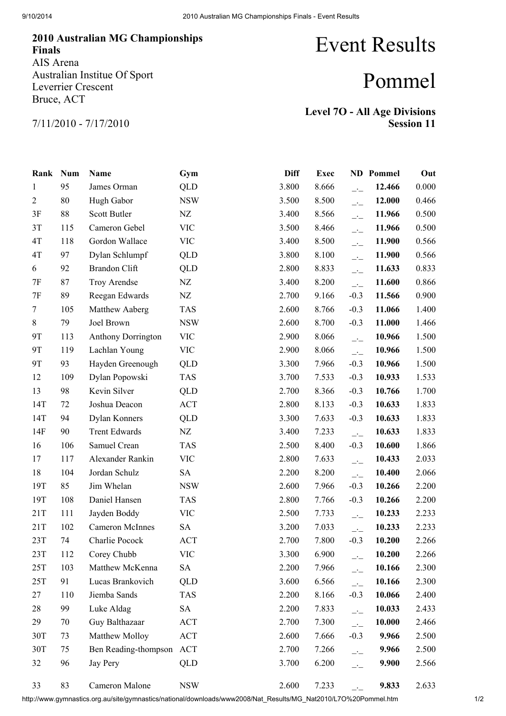## 2010 Australian MG Championships Finals AIS Arena Australian Institue Of Sport Leverrier Crescent Bruce, ACT

## Event Results

## Pommel

7/11/2010 - 7/17/2010

Level 7O - All Age Divisions Session 11

| Rank           | <b>Num</b> | Name                      | Gym        | <b>Diff</b> | <b>Exec</b> |                                                   | <b>ND</b> Pommel | Out   |
|----------------|------------|---------------------------|------------|-------------|-------------|---------------------------------------------------|------------------|-------|
| 1              | 95         | James Orman               | <b>QLD</b> | 3.800       | 8.666       | $\overline{\phantom{a}}$                          | 12.466           | 0.000 |
| $\overline{2}$ | 80         | Hugh Gabor                | <b>NSW</b> | 3.500       | 8.500       | $\overline{\phantom{a}}$                          | 12.000           | 0.466 |
| 3F             | 88         | Scott Butler              | NZ         | 3.400       | 8.566       | $\overline{\phantom{a}}$                          | 11.966           | 0.500 |
| 3T             | 115        | Cameron Gebel             | <b>VIC</b> | 3.500       | 8.466       | $\overline{\phantom{a}}$                          | 11.966           | 0.500 |
| 4T             | 118        | Gordon Wallace            | <b>VIC</b> | 3.400       | 8.500       | $\overline{\mathcal{L}}$                          | 11.900           | 0.566 |
| 4T             | 97         | Dylan Schlumpf            | QLD        | 3.800       | 8.100       | $\overline{\phantom{a}}$                          | 11.900           | 0.566 |
| 6              | 92         | <b>Brandon Clift</b>      | QLD        | 2.800       | 8.833       | $\overline{\phantom{a}}$                          | 11.633           | 0.833 |
| 7F             | 87         | Troy Arendse              | NZ         | 3.400       | 8.200       | $\overline{\phantom{a}}$                          | 11.600           | 0.866 |
| 7F             | 89         | Reegan Edwards            | NZ         | 2.700       | 9.166       | $-0.3$                                            | 11.566           | 0.900 |
| 7              | 105        | Matthew Aaberg            | <b>TAS</b> | 2.600       | 8.766       | $-0.3$                                            | 11.066           | 1.400 |
| 8              | 79         | Joel Brown                | <b>NSW</b> | 2.600       | 8.700       | $-0.3$                                            | 11.000           | 1.466 |
| 9T             | 113        | <b>Anthony Dorrington</b> | <b>VIC</b> | 2.900       | 8.066       | $\overline{\phantom{a}}$                          | 10.966           | 1.500 |
| 9T             | 119        | Lachlan Young             | <b>VIC</b> | 2.900       | 8.066       | $\overline{\phantom{a}}$                          | 10.966           | 1.500 |
| 9T             | 93         | Hayden Greenough          | <b>QLD</b> | 3.300       | 7.966       | $-0.3$                                            | 10.966           | 1.500 |
| 12             | 109        | Dylan Popowski            | <b>TAS</b> | 3.700       | 7.533       | $-0.3$                                            | 10.933           | 1.533 |
| 13             | 98         | Kevin Silver              | <b>QLD</b> | 2.700       | 8.366       | $-0.3$                                            | 10.766           | 1.700 |
| 14T            | 72         | Joshua Deacon             | <b>ACT</b> | 2.800       | 8.133       | $-0.3$                                            | 10.633           | 1.833 |
| 14T            | 94         | Dylan Konners             | QLD        | 3.300       | 7.633       | $-0.3$                                            | 10.633           | 1.833 |
| 14F            | 90         | <b>Trent Edwards</b>      | NZ         | 3.400       | 7.233       | $\overline{\phantom{a}}$                          | 10.633           | 1.833 |
| 16             | 106        | Samuel Crean              | <b>TAS</b> | 2.500       | 8.400       | $-0.3$                                            | 10.600           | 1.866 |
| 17             | 117        | Alexander Rankin          | <b>VIC</b> | 2.800       | 7.633       | $\overline{\phantom{a}}$                          | 10.433           | 2.033 |
| 18             | 104        | Jordan Schulz             | <b>SA</b>  | 2.200       | 8.200       | $\overline{\phantom{a}}$                          | 10.400           | 2.066 |
| 19T            | 85         | Jim Whelan                | <b>NSW</b> | 2.600       | 7.966       | $-0.3$                                            | 10.266           | 2.200 |
| 19T            | 108        | Daniel Hansen             | <b>TAS</b> | 2.800       | 7.766       | $-0.3$                                            | 10.266           | 2.200 |
| 21T            | 111        | Jayden Boddy              | <b>VIC</b> | 2.500       | 7.733       | $\overline{\phantom{a}}$                          | 10.233           | 2.233 |
| 21T            | 102        | <b>Cameron McInnes</b>    | <b>SA</b>  | 3.200       | 7.033       | $\overline{\phantom{a}}$                          | 10.233           | 2.233 |
| 23T            | 74         | Charlie Pocock            | ACT        | 2.700       | 7.800       | $-0.3$                                            | 10.200           | 2.266 |
| 23T            | 112        | Corey Chubb               | <b>VIC</b> | 3.300       | 6.900       | $\overline{\phantom{a}}$ $\overline{\phantom{a}}$ | 10.200           | 2.266 |
| 25T            | 103        | Matthew McKenna           | <b>SA</b>  | 2.200       | 7.966       | $\overline{\phantom{a}}$                          | 10.166           | 2.300 |
| 25T            | 91         | Lucas Brankovich          | <b>QLD</b> | 3.600       | 6.566       | $\overline{\phantom{a}}$                          | 10.166           | 2.300 |
| 27             | 110        | Jiemba Sands              | <b>TAS</b> | 2.200       | 8.166       | $-0.3$                                            | 10.066           | 2.400 |
| 28             | 99         | Luke Aldag                | <b>SA</b>  | 2.200       | 7.833       | $\overline{\phantom{a}}$                          | 10.033           | 2.433 |
| 29             | 70         | Guy Balthazaar            | ACT        | 2.700       | 7.300       | $\overline{a}$                                    | 10.000           | 2.466 |
| 30T            | 73         | Matthew Molloy            | ACT        | 2.600       | 7.666       | $-0.3$                                            | 9.966            | 2.500 |
| 30T            | 75         | Ben Reading-thompson      | ACT        | 2.700       | 7.266       | $\overline{\phantom{a}}$                          | 9.966            | 2.500 |
| 32             | 96         | Jay Pery                  | QLD        | 3.700       | 6.200       | $\overline{\phantom{a}}$                          | 9.900            | 2.566 |
| 33             | 83         | Cameron Malone            | <b>NSW</b> | 2.600       | 7.233       |                                                   | 9.833            | 2.633 |

http://www.gymnastics.org.au/site/gymnastics/national/downloads/www2008/Nat\_Results/MG\_Nat2010/L7O%20Pommel.htm 1/2